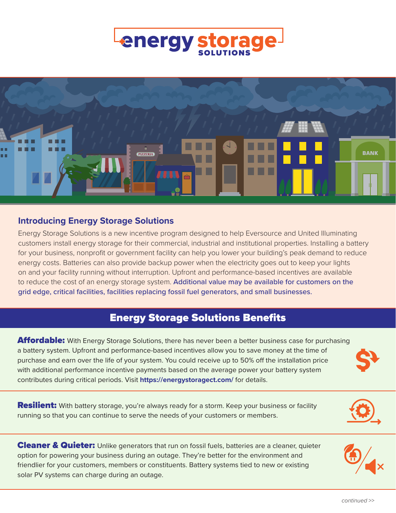# **energy sto**



#### **Introducing Energy Storage Solutions**

Energy Storage Solutions is a new incentive program designed to help Eversource and United Illuminating customers install energy storage for their commercial, industrial and institutional properties. Installing a battery for your business, nonprofit or government facility can help you lower your building's peak demand to reduce energy costs. Batteries can also provide backup power when the electricity goes out to keep your lights on and your facility running without interruption. Upfront and performance-based incentives are available to reduce the cost of an energy storage system. Additional value may be available for customers on the grid edge, critical facilities, facilities replacing fossil fuel generators, and small businesses.

# Energy Storage Solutions Benefits

**Affordable:** With Energy Storage Solutions, there has never been a better business case for purchasing a battery system. Upfront and performance-based incentives allow you to save money at the time of purchase and earn over the life of your system. You could receive up to 50% off the installation price with additional performance incentive payments based on the average power your battery system contributes during critical periods. Visit **<https://energystoragect.com/>** for details.

**Resilient:** With battery storage, you're always ready for a storm. Keep your business or facility running so that you can continue to serve the needs of your customers or members.

Cleaner & Quieter: Unlike generators that run on fossil fuels, batteries are a cleaner, quieter option for powering your business during an outage. They're better for the environment and friendlier for your customers, members or constituents. Battery systems tied to new or existing solar PV systems can charge during an outage.